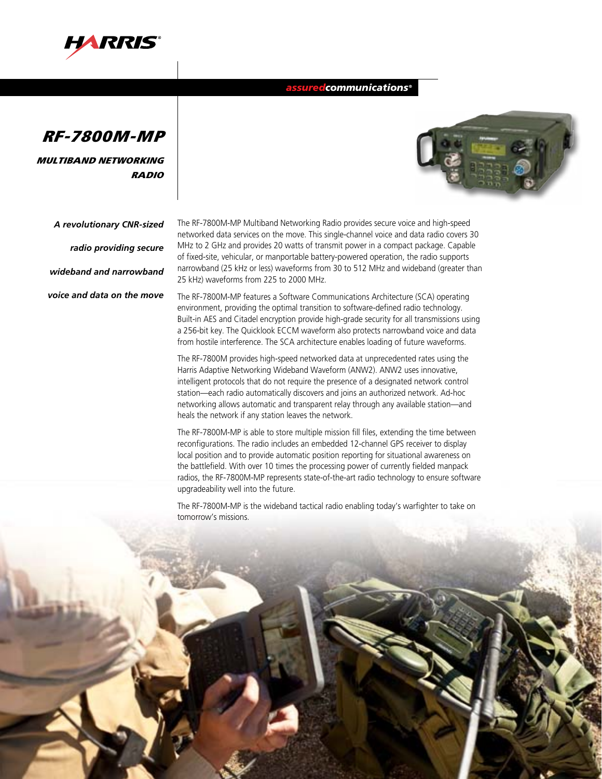

## *assuredcommunications®*



Multiband Networking radio

*A revolutionary CNR-sized* 

*radio providing secure* 

*wideband and narrowband* 

*voice and data on the move*

The RF-7800M-MP Multiband Networking Radio provides secure voice and high-speed networked data services on the move. This single-channel voice and data radio covers 30 MHz to 2 GHz and provides 20 watts of transmit power in a compact package. Capable of fixed-site, vehicular, or manportable battery-powered operation, the radio supports narrowband (25 kHz or less) waveforms from 30 to 512 MHz and wideband (greater than 25 kHz) waveforms from 225 to 2000 MHz.

The RF-7800M-MP features a Software Communications Architecture (SCA) operating environment, providing the optimal transition to software-defined radio technology. Built-in AES and Citadel encryption provide high-grade security for all transmissions using a 256-bit key. The Quicklook ECCM waveform also protects narrowband voice and data from hostile interference. The SCA architecture enables loading of future waveforms.

The RF-7800M provides high-speed networked data at unprecedented rates using the Harris Adaptive Networking Wideband Waveform (ANW2). ANW2 uses innovative, intelligent protocols that do not require the presence of a designated network control station—each radio automatically discovers and joins an authorized network. Ad-hoc networking allows automatic and transparent relay through any available station—and heals the network if any station leaves the network.

The RF-7800M-MP is able to store multiple mission fill files, extending the time between reconfigurations. The radio includes an embedded 12-channel GPS receiver to display local position and to provide automatic position reporting for situational awareness on the battlefield. With over 10 times the processing power of currently fielded manpack radios, the RF-7800M-MP represents state-of-the-art radio technology to ensure software upgradeability well into the future.

The RF-7800M-MP is the wideband tactical radio enabling today's warfighter to take on tomorrow's missions.